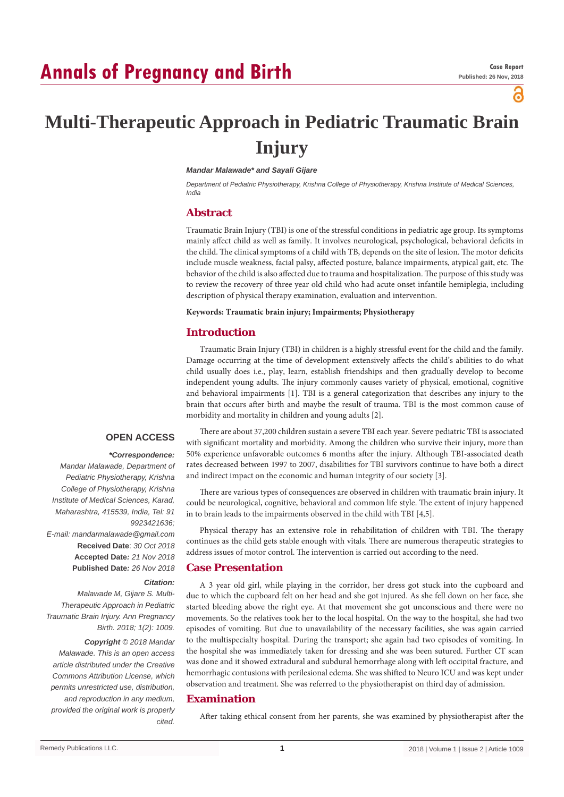# **Annals of Pregnancy and Birth**

а

# **Multi-Therapeutic Approach in Pediatric Traumatic Brain Injury**

### *Mandar Malawade\* and Sayali Gijare*

*Department of Pediatric Physiotherapy, Krishna College of Physiotherapy, Krishna Institute of Medical Sciences, India*

### **Abstract**

Traumatic Brain Injury (TBI) is one of the stressful conditions in pediatric age group. Its symptoms mainly affect child as well as family. It involves neurological, psychological, behavioral deficits in the child. The clinical symptoms of a child with TB, depends on the site of lesion. The motor deficits include muscle weakness, facial palsy, affected posture, balance impairments, atypical gait, etc. The behavior of the child is also affected due to trauma and hospitalization. The purpose of this study was to review the recovery of three year old child who had acute onset infantile hemiplegia, including description of physical therapy examination, evaluation and intervention.

### **Keywords: Traumatic brain injury; Impairments; Physiotherapy**

### **Introduction**

Traumatic Brain Injury (TBI) in children is a highly stressful event for the child and the family. Damage occurring at the time of development extensively affects the child's abilities to do what child usually does i.e., play, learn, establish friendships and then gradually develop to become independent young adults. The injury commonly causes variety of physical, emotional, cognitive and behavioral impairments [1]. TBI is a general categorization that describes any injury to the brain that occurs after birth and maybe the result of trauma. TBI is the most common cause of morbidity and mortality in children and young adults [2].

## **OPEN ACCESS**

### *\*Correspondence:*

*Mandar Malawade, Department of Pediatric Physiotherapy, Krishna College of Physiotherapy, Krishna Institute of Medical Sciences, Karad, Maharashtra, 415539, India, Tel: 91 9923421636; E-mail: mandarmalawade@gmail.com* **Received Date**: *30 Oct 2018* **Accepted Date***: 21 Nov 2018* **Published Date***: 26 Nov 2018 Citation:* 

*Malawade M, Gijare S. Multi-Therapeutic Approach in Pediatric Traumatic Brain Injury. Ann Pregnancy Birth. 2018; 1(2): 1009.*

### *Copyright © 2018 Mandar*

*Malawade. This is an open access article distributed under the Creative Commons Attribution License, which permits unrestricted use, distribution, and reproduction in any medium, provided the original work is properly cited.*

There are about 37,200 children sustain a severe TBI each year. Severe pediatric TBI is associated with significant mortality and morbidity. Among the children who survive their injury, more than 50% experience unfavorable outcomes 6 months after the injury. Although TBI-associated death rates decreased between 1997 to 2007, disabilities for TBI survivors continue to have both a direct and indirect impact on the economic and human integrity of our society [3].

There are various types of consequences are observed in children with traumatic brain injury. It could be neurological, cognitive, behavioral and common life style. The extent of injury happened in to brain leads to the impairments observed in the child with TBI [4,5].

Physical therapy has an extensive role in rehabilitation of children with TBI. The therapy continues as the child gets stable enough with vitals. There are numerous therapeutic strategies to address issues of motor control. The intervention is carried out according to the need.

### **Case Presentation**

A 3 year old girl, while playing in the corridor, her dress got stuck into the cupboard and due to which the cupboard felt on her head and she got injured. As she fell down on her face, she started bleeding above the right eye. At that movement she got unconscious and there were no movements. So the relatives took her to the local hospital. On the way to the hospital, she had two episodes of vomiting. But due to unavailability of the necessary facilities, she was again carried to the multispecialty hospital. During the transport; she again had two episodes of vomiting. In the hospital she was immediately taken for dressing and she was been sutured. Further CT scan was done and it showed extradural and subdural hemorrhage along with left occipital fracture, and hemorrhagic contusions with perilesional edema. She was shifted to Neuro ICU and was kept under observation and treatment. She was referred to the physiotherapist on third day of admission.

## **Examination**

After taking ethical consent from her parents, she was examined by physiotherapist after the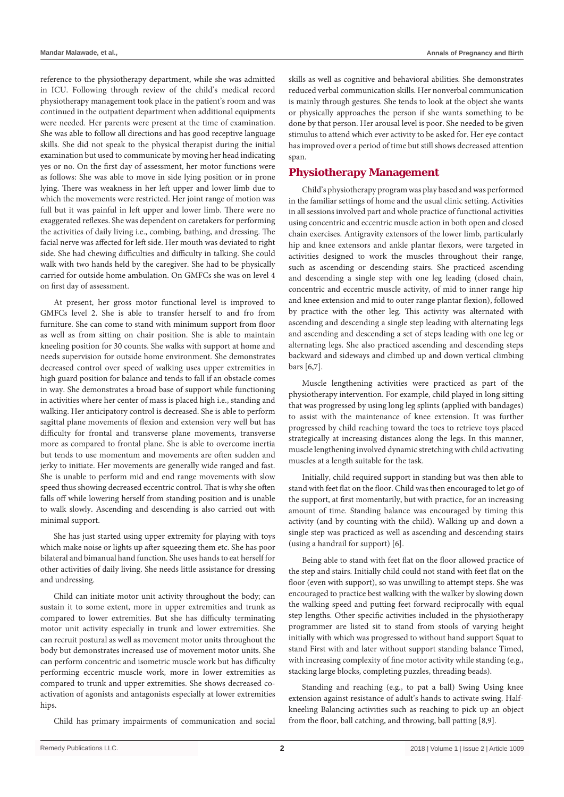reference to the physiotherapy department, while she was admitted in ICU. Following through review of the child's medical record physiotherapy management took place in the patient's room and was continued in the outpatient department when additional equipments were needed. Her parents were present at the time of examination. She was able to follow all directions and has good receptive language skills. She did not speak to the physical therapist during the initial examination but used to communicate by moving her head indicating yes or no. On the first day of assessment, her motor functions were as follows: She was able to move in side lying position or in prone lying. There was weakness in her left upper and lower limb due to which the movements were restricted. Her joint range of motion was full but it was painful in left upper and lower limb. There were no exaggerated reflexes. She was dependent on caretakers for performing the activities of daily living i.e., combing, bathing, and dressing. The facial nerve was affected for left side. Her mouth was deviated to right side. She had chewing difficulties and difficulty in talking. She could walk with two hands held by the caregiver. She had to be physically carried for outside home ambulation. On GMFCs she was on level 4 on first day of assessment.

At present, her gross motor functional level is improved to GMFCs level 2. She is able to transfer herself to and fro from furniture. She can come to stand with minimum support from floor as well as from sitting on chair position. She is able to maintain kneeling position for 30 counts. She walks with support at home and needs supervision for outside home environment. She demonstrates decreased control over speed of walking uses upper extremities in high guard position for balance and tends to fall if an obstacle comes in way. She demonstrates a broad base of support while functioning in activities where her center of mass is placed high i.e., standing and walking. Her anticipatory control is decreased. She is able to perform sagittal plane movements of flexion and extension very well but has difficulty for frontal and transverse plane movements, transverse more as compared to frontal plane. She is able to overcome inertia but tends to use momentum and movements are often sudden and jerky to initiate. Her movements are generally wide ranged and fast. She is unable to perform mid and end range movements with slow speed thus showing decreased eccentric control. That is why she often falls off while lowering herself from standing position and is unable to walk slowly. Ascending and descending is also carried out with minimal support.

She has just started using upper extremity for playing with toys which make noise or lights up after squeezing them etc. She has poor bilateral and bimanual hand function. She uses hands to eat herself for other activities of daily living. She needs little assistance for dressing and undressing.

Child can initiate motor unit activity throughout the body; can sustain it to some extent, more in upper extremities and trunk as compared to lower extremities. But she has difficulty terminating motor unit activity especially in trunk and lower extremities. She can recruit postural as well as movement motor units throughout the body but demonstrates increased use of movement motor units. She can perform concentric and isometric muscle work but has difficulty performing eccentric muscle work, more in lower extremities as compared to trunk and upper extremities. She shows decreased coactivation of agonists and antagonists especially at lower extremities hips.

Child has primary impairments of communication and social

skills as well as cognitive and behavioral abilities. She demonstrates reduced verbal communication skills. Her nonverbal communication is mainly through gestures. She tends to look at the object she wants or physically approaches the person if she wants something to be done by that person. Her arousal level is poor. She needed to be given stimulus to attend which ever activity to be asked for. Her eye contact has improved over a period of time but still shows decreased attention span.

# **Physiotherapy Management**

Child's physiotherapy program was play based and was performed in the familiar settings of home and the usual clinic setting. Activities in all sessions involved part and whole practice of functional activities using concentric and eccentric muscle action in both open and closed chain exercises. Antigravity extensors of the lower limb, particularly hip and knee extensors and ankle plantar flexors, were targeted in activities designed to work the muscles throughout their range, such as ascending or descending stairs. She practiced ascending and descending a single step with one leg leading (closed chain, concentric and eccentric muscle activity, of mid to inner range hip and knee extension and mid to outer range plantar flexion), followed by practice with the other leg. This activity was alternated with ascending and descending a single step leading with alternating legs and ascending and descending a set of steps leading with one leg or alternating legs. She also practiced ascending and descending steps backward and sideways and climbed up and down vertical climbing bars [6,7].

Muscle lengthening activities were practiced as part of the physiotherapy intervention. For example, child played in long sitting that was progressed by using long leg splints (applied with bandages) to assist with the maintenance of knee extension. It was further progressed by child reaching toward the toes to retrieve toys placed strategically at increasing distances along the legs. In this manner, muscle lengthening involved dynamic stretching with child activating muscles at a length suitable for the task.

Initially, child required support in standing but was then able to stand with feet flat on the floor. Child was then encouraged to let go of the support, at first momentarily, but with practice, for an increasing amount of time. Standing balance was encouraged by timing this activity (and by counting with the child). Walking up and down a single step was practiced as well as ascending and descending stairs (using a handrail for support) [6].

Being able to stand with feet flat on the floor allowed practice of the step and stairs. Initially child could not stand with feet flat on the floor (even with support), so was unwilling to attempt steps. She was encouraged to practice best walking with the walker by slowing down the walking speed and putting feet forward reciprocally with equal step lengths. Other specific activities included in the physiotherapy programmer are listed sit to stand from stools of varying height initially with which was progressed to without hand support Squat to stand First with and later without support standing balance Timed, with increasing complexity of fine motor activity while standing (e.g., stacking large blocks, completing puzzles, threading beads).

Standing and reaching (e.g., to pat a ball) Swing Using knee extension against resistance of adult's hands to activate swing. Halfkneeling Balancing activities such as reaching to pick up an object from the floor, ball catching, and throwing, ball patting [8,9].